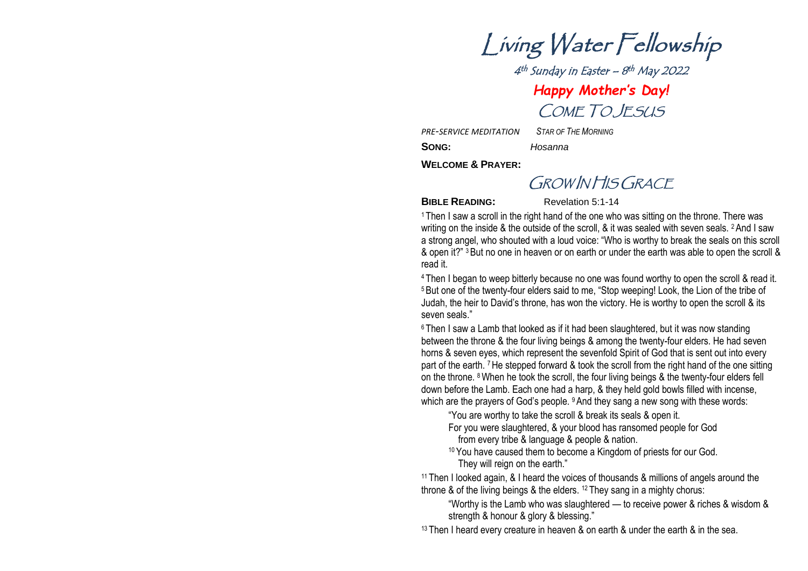Living Water Fellowship

4<sup>th</sup> Sunday in Easter – 8<sup>th</sup> May 2022 *Happy Mother 's Day!* COME TO JESUS

*PRE -SERVICE MEDITATION* 

*STAR OF THE MORNING*

**:** *Hosanna*

SONG:

**WELCOME & PRAYER :**

GROW IN HIS GRACE

**BIBLE READING:** Revelation 5:1-14

<sup>1</sup> Then I saw a scroll in the right hand of the one who was sitting on the throne. There was writing on the inside & the outside of the scroll, & it was sealed with seven seals. <sup>2</sup> And I saw a strong angel, who shouted with a loud voice: "Who is worthy to break the seals on this scroll & open it?" <sup>3</sup>But no one in heaven or on earth or under the earth was able to open the scroll & read it.

<sup>4</sup> Then I began to weep bitterly because no one was found worthy to open the scroll & read it. <sup>5</sup> But one of the twenty-four elders said to me, "Stop weeping! Look, the Lion of the tribe of Judah, the heir to David's throne, has won the victory. He is worthy to open the scroll & its seven seals."

<sup>6</sup> Then I saw a Lamb that looked as if it had been slaughtered, but it was now standing between the throne & the four living beings & among the twenty -four elders. He had seven horns & seven eyes, which represent the sevenfold Spirit of God that is sent out into every part of the earth. <sup>7</sup> He stepped forward & took the scroll from the right hand of the one sitting on the throne. <sup>8</sup> When he took the scroll, the four living beings & the twenty-four elders fell down before the Lamb. Each one had a harp, & they held gold bowls filled with incense, which are the prayers of God's people. <sup>9</sup> And they sang a new song with these words:

"You are worthy to take the scroll & break its seals & open it.

- For you were slaughtered, & your blood has ransomed people for God from every tribe & language & people & nation.
- 10 You have caused them to become a Kingdom of priests for our God. They will reign on the earth."

<sup>11</sup> Then I looked again, & I heard the voices of thousands & millions of angels around the throne & of the living beings & the elders. <sup>12</sup> They sang in a mighty chorus:

"Worthy is the Lamb who was slaughtered — to receive power & riches & wisdom & strength & honour & glory & blessing."

<sup>13</sup> Then I heard every creature in heaven & on earth & under the earth & in the sea.